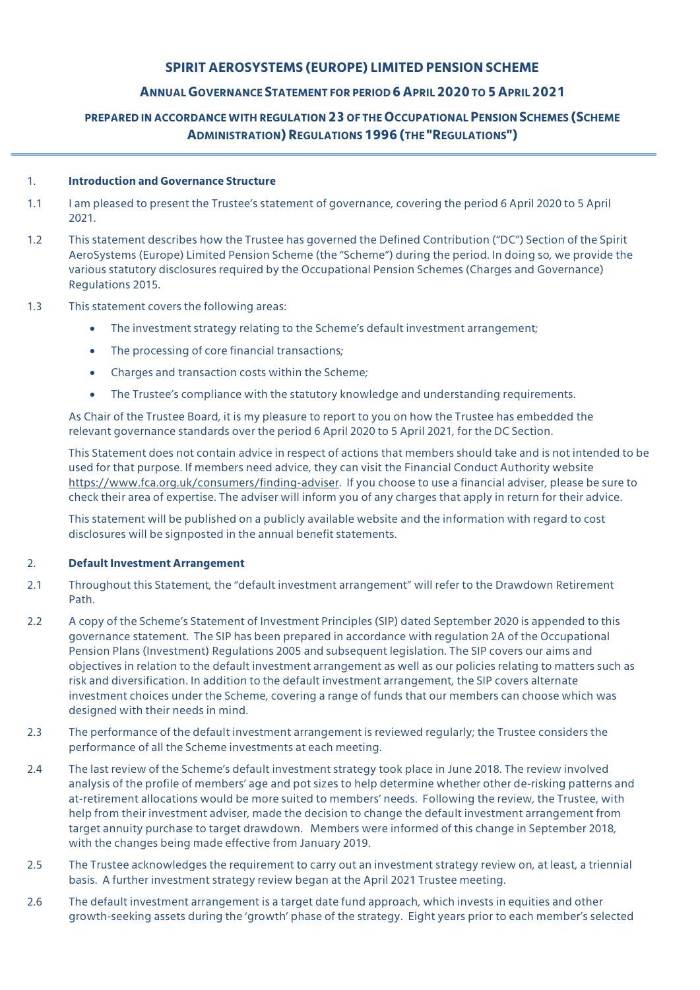# **SPIRIT AEROSYSTEMS (EUROPE) LIMITED PENSION SCHEME**

# **ANNUALGOVERNANCE STATEMENT FOR PERIOD 6APRIL2020 TO 5APRIL2021**

# **PREPARED IN ACCORDANCE WITH REGULATION 23 OF THEOCCUPATIONALPENSION SCHEMES (SCHEME ADMINISTRATION)REGULATIONS1996(THE "REGULATIONS")**

### 1. **Introduction and Governance Structure**

- 1.1 I am pleased to present the Trustee's statement of governance, covering the period 6 April 2020 to 5 April 2021.
- 1.2 This statement describes how the Trustee has governed the Defined Contribution ("DC") Section of the Spirit AeroSystems (Europe) Limited Pension Scheme (the "Scheme") during the period. In doing so, we provide the various statutory disclosures required by the Occupational Pension Schemes (Charges and Governance) Regulations 2015.
- 1.3 This statement covers the following areas:
	- The investment strategy relating to the Scheme's default investment arrangement;
	- The processing of core financial transactions;
	- Charges and transaction costs within the Scheme;
	- The Trustee's compliance with the statutory knowledge and understanding requirements.

As Chair of the Trustee Board, it is my pleasure to report to you on how the Trustee has embedded the relevant governance standards over the period 6 April 2020 to 5 April 2021, for the DC Section.

This Statement does not contain advice in respect of actions that members should take and is not intended to be used for that purpose. If members need advice, they can visit the Financial Conduct Authority website https://www.fca.org.uk/consumers/finding-adviser. If you choose to use a financial adviser, please be sure to check their area of expertise. The adviser will inform you of any charges that apply in return for their advice.

This statement will be published on a publicly available website and the information with regard to cost disclosures will be signposted in the annual benefit statements.

#### 2. **Default Investment Arrangement**

- 2.1 Throughout this Statement, the "default investment arrangement" will refer to the Drawdown Retirement Path.
- 2.2 A copy of the Scheme's Statement of Investment Principles (SIP) dated September 2020 is appended to this governance statement. The SIP has been prepared in accordance with regulation 2A of the Occupational Pension Plans (Investment) Regulations 2005 and subsequent legislation. The SIP covers our aims and objectives in relation to the default investment arrangement as well as our policies relating to matters such as risk and diversification. In addition to the default investment arrangement, the SIP covers alternate investment choices under the Scheme, covering a range of funds that our members can choose which was designed with their needs in mind.
- 2.3 The performance of the default investment arrangement is reviewed regularly; the Trustee considers the performance of all the Scheme investments at each meeting.
- 2.4 The last review of the Scheme's default investment strategy took place in June 2018. The review involved analysis of the profile of members' age and pot sizes to help determine whether other de-risking patterns and at-retirement allocations would be more suited to members' needs. Following the review, the Trustee, with help from their investment adviser, made the decision to change the default investment arrangement from target annuity purchase to target drawdown. Members were informed of this change in September 2018, with the changes being made effective from January 2019.
- 2.5 The Trustee acknowledges the requirement to carry out an investment strategy review on, at least, a triennial basis. A further investment strategy review began at the April 2021 Trustee meeting.
- 2.6 The default investment arrangement is a target date fund approach, which invests in equities and other growth-seeking assets during the 'growth' phase of the strategy. Eight years prior to each member's selected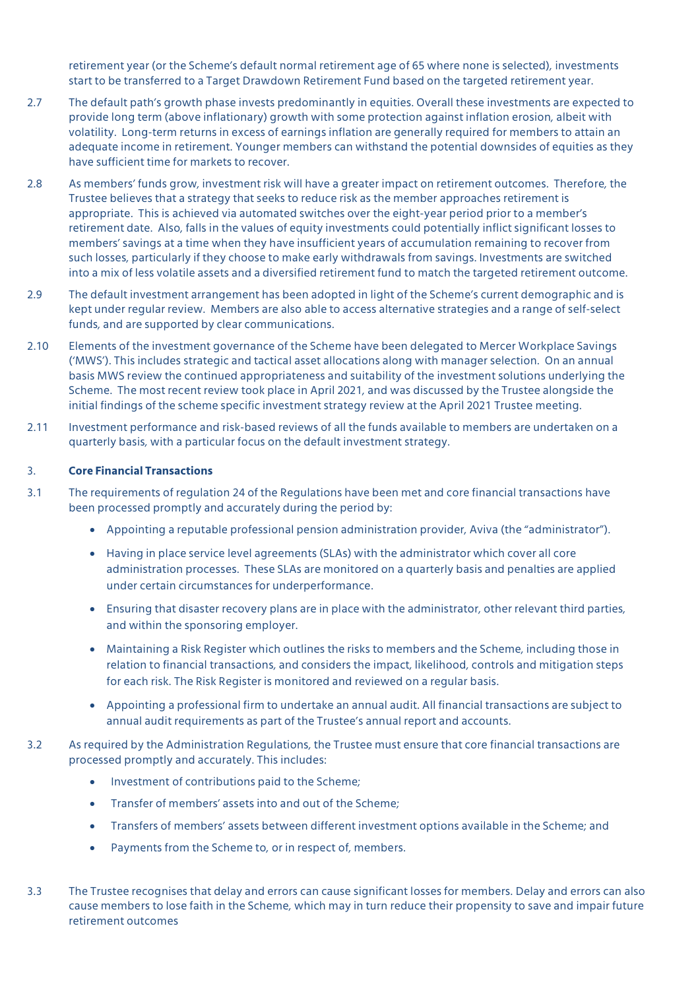retirement year (or the Scheme's default normal retirement age of 65 where none is selected), investments start to be transferred to a Target Drawdown Retirement Fund based on the targeted retirement year.

- 2.7 The default path's growth phase invests predominantly in equities. Overall these investments are expected to provide long term (above inflationary) growth with some protection against inflation erosion, albeit with volatility. Long-term returns in excess of earnings inflation are generally required for members to attain an adequate income in retirement. Younger members can withstand the potential downsides of equities as they have sufficient time for markets to recover.
- 2.8 As members' funds grow, investment risk will have a greater impact on retirement outcomes. Therefore, the Trustee believes that a strategy that seeks to reduce risk as the member approaches retirement is appropriate. This is achieved via automated switches over the eight-year period prior to a member's retirement date. Also, falls in the values of equity investments could potentially inflict significant losses to members' savings at a time when they have insufficient years of accumulation remaining to recover from such losses, particularly if they choose to make early withdrawals from savings. Investments are switched into a mix of less volatile assets and a diversified retirement fund to match the targeted retirement outcome.
- 2.9 The default investment arrangement has been adopted in light of the Scheme's current demographic and is kept under regular review. Members are also able to access alternative strategies and a range of self-select funds, and are supported by clear communications.
- 2.10 Elements of the investment governance of the Scheme have been delegated to Mercer Workplace Savings ('MWS'). This includes strategic and tactical asset allocations along with manager selection. On an annual basis MWS review the continued appropriateness and suitability of the investment solutions underlying the Scheme. The most recent review took place in April 2021, and was discussed by the Trustee alongside the initial findings of the scheme specific investment strategy review at the April 2021 Trustee meeting.
- 2.11 Investment performance and risk-based reviews of all the funds available to members are undertaken on a quarterly basis, with a particular focus on the default investment strategy.

# 3. **Core Financial Transactions**

- 3.1 The requirements of regulation 24 of the Regulations have been met and core financial transactions have been processed promptly and accurately during the period by:
	- Appointing a reputable professional pension administration provider, Aviva (the "administrator").
	- Having in place service level agreements (SLAs) with the administrator which cover all core administration processes. These SLAs are monitored on a quarterly basis and penalties are applied under certain circumstances for underperformance.
	- Ensuring that disaster recovery plans are in place with the administrator, other relevant third parties, and within the sponsoring employer.
	- Maintaining a Risk Register which outlines the risks to members and the Scheme, including those in relation to financial transactions, and considers the impact, likelihood, controls and mitigation steps for each risk. The Risk Register is monitored and reviewed on a regular basis.
	- Appointing a professional firm to undertake an annual audit. All financial transactions are subject to annual audit requirements as part of the Trustee's annual report and accounts.
- 3.2 As required by the Administration Regulations, the Trustee must ensure that core financial transactions are processed promptly and accurately. This includes:
	- Investment of contributions paid to the Scheme;
	- Transfer of members' assets into and out of the Scheme;
	- Transfers of members' assets between different investment options available in the Scheme; and
	- Payments from the Scheme to, or in respect of, members.
- 3.3 The Trustee recognises that delay and errors can cause significant losses for members. Delay and errors can also cause members to lose faith in the Scheme, which may in turn reduce their propensity to save and impair future retirement outcomes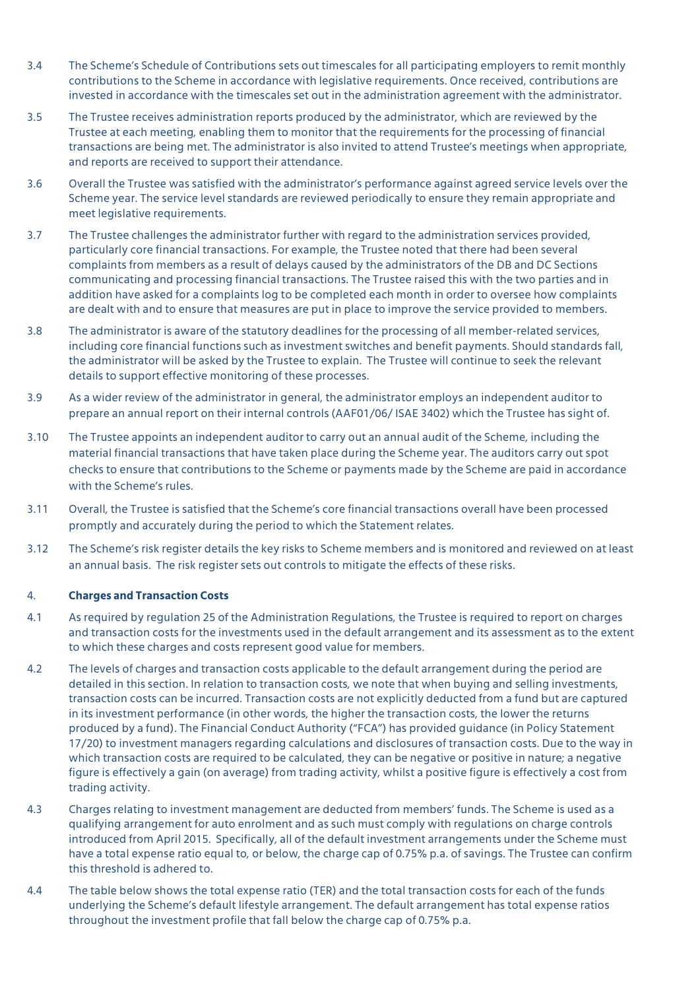- 3.4 The Scheme's Schedule of Contributions sets out timescales for all participating employers to remit monthly contributions to the Scheme in accordance with legislative requirements. Once received, contributions are invested in accordance with the timescales set out in the administration agreement with the administrator.
- 3.5 The Trustee receives administration reports produced by the administrator, which are reviewed by the Trustee at each meeting, enabling them to monitor that the requirements for the processing of financial transactions are being met. The administrator is also invited to attend Trustee's meetings when appropriate, and reports are received to support their attendance.
- 3.6 Overall the Trustee was satisfied with the administrator's performance against agreed service levels over the Scheme year. The service level standards are reviewed periodically to ensure they remain appropriate and meet legislative requirements.
- 3.7 The Trustee challenges the administrator further with regard to the administration services provided, particularly core financial transactions. For example, the Trustee noted that there had been several complaints from members as a result of delays caused by the administrators of the DB and DC Sections communicating and processing financial transactions. The Trustee raised this with the two parties and in addition have asked for a complaints log to be completed each month in order to oversee how complaints are dealt with and to ensure that measures are put in place to improve the service provided to members.
- 3.8 The administrator is aware of the statutory deadlines for the processing of all member-related services, including core financial functions such as investment switches and benefit payments. Should standards fall, the administrator will be asked by the Trustee to explain. The Trustee will continue to seek the relevant details to support effective monitoring of these processes.
- 3.9 As a wider review of the administrator in general, the administrator employs an independent auditor to prepare an annual report on their internal controls (AAF01/06/ ISAE 3402) which the Trustee has sight of.
- 3.10 The Trustee appoints an independent auditor to carry out an annual audit of the Scheme, including the material financial transactions that have taken place during the Scheme year. The auditors carry out spot checks to ensure that contributions to the Scheme or payments made by the Scheme are paid in accordance with the Scheme's rules.
- 3.11 Overall, the Trustee is satisfied that the Scheme's core financial transactions overall have been processed promptly and accurately during the period to which the Statement relates.
- 3.12 The Scheme's risk register details the key risks to Scheme members and is monitored and reviewed on at least an annual basis. The risk register sets out controls to mitigate the effects of these risks.

#### 4. **Charges and Transaction Costs**

- 4.1 As required by regulation 25 of the Administration Regulations, the Trustee is required to report on charges and transaction costs for the investments used in the default arrangement and its assessment as to the extent to which these charges and costs represent good value for members.
- 4.2 The levels of charges and transaction costs applicable to the default arrangement during the period are detailed in this section. In relation to transaction costs, we note that when buying and selling investments, transaction costs can be incurred. Transaction costs are not explicitly deducted from a fund but are captured in its investment performance (in other words, the higher the transaction costs, the lower the returns produced by a fund). The Financial Conduct Authority ("FCA") has provided guidance (in Policy Statement 17/20) to investment managers regarding calculations and disclosures of transaction costs. Due to the way in which transaction costs are required to be calculated, they can be negative or positive in nature; a negative figure is effectively a gain (on average) from trading activity, whilst a positive figure is effectively a cost from trading activity.
- 4.3 Charges relating to investment management are deducted from members' funds. The Scheme is used as a qualifying arrangement for auto enrolment and as such must comply with regulations on charge controls introduced from April 2015. Specifically, all of the default investment arrangements under the Scheme must have a total expense ratio equal to, or below, the charge cap of 0.75% p.a. of savings. The Trustee can confirm this threshold is adhered to.
- 4.4 The table below shows the total expense ratio (TER) and the total transaction costs for each of the funds underlying the Scheme's default lifestyle arrangement. The default arrangement has total expense ratios throughout the investment profile that fall below the charge cap of 0.75% p.a.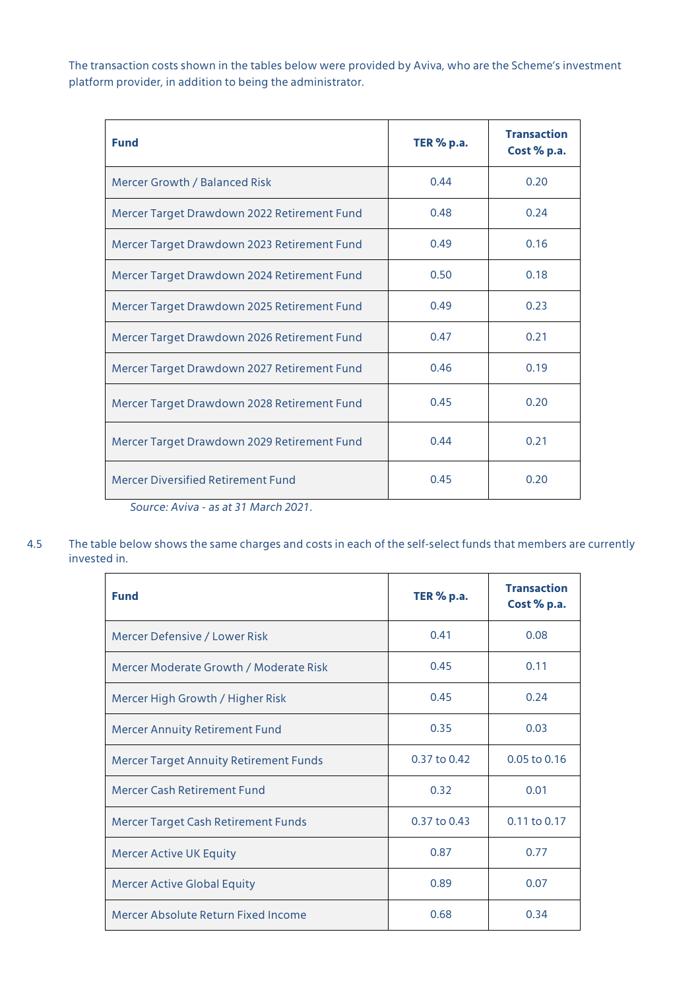The transaction costs shown in the tables below were provided by Aviva, who are the Scheme's investment platform provider, in addition to being the administrator.

| <b>Fund</b>                                                                                                                                                                                                                                                                                                                                                                                                                       | <b>TER % p.a.</b> | <b>Transaction</b><br>Cost % p.a. |
|-----------------------------------------------------------------------------------------------------------------------------------------------------------------------------------------------------------------------------------------------------------------------------------------------------------------------------------------------------------------------------------------------------------------------------------|-------------------|-----------------------------------|
| Mercer Growth / Balanced Risk                                                                                                                                                                                                                                                                                                                                                                                                     | 0.44              | 0.20                              |
| Mercer Target Drawdown 2022 Retirement Fund                                                                                                                                                                                                                                                                                                                                                                                       | 0.48              | 0.24                              |
| Mercer Target Drawdown 2023 Retirement Fund                                                                                                                                                                                                                                                                                                                                                                                       | 0.49              | 0.16                              |
| Mercer Target Drawdown 2024 Retirement Fund                                                                                                                                                                                                                                                                                                                                                                                       | 0.50              | 0.18                              |
| Mercer Target Drawdown 2025 Retirement Fund                                                                                                                                                                                                                                                                                                                                                                                       | 0.49              | 0.23                              |
| Mercer Target Drawdown 2026 Retirement Fund                                                                                                                                                                                                                                                                                                                                                                                       | 0.47              | 0.21                              |
| Mercer Target Drawdown 2027 Retirement Fund                                                                                                                                                                                                                                                                                                                                                                                       | 0.46              | 0.19                              |
| Mercer Target Drawdown 2028 Retirement Fund                                                                                                                                                                                                                                                                                                                                                                                       | 0.45              | 0.20                              |
| Mercer Target Drawdown 2029 Retirement Fund                                                                                                                                                                                                                                                                                                                                                                                       | 0.44              | 0.21                              |
| <b>Mercer Diversified Retirement Fund</b><br>$\overline{a}$ $\overline{a}$ $\overline{a}$ $\overline{a}$ $\overline{a}$ $\overline{a}$ $\overline{a}$ $\overline{a}$ $\overline{a}$ $\overline{a}$ $\overline{a}$ $\overline{a}$ $\overline{a}$ $\overline{a}$ $\overline{a}$ $\overline{a}$ $\overline{a}$ $\overline{a}$ $\overline{a}$ $\overline{a}$ $\overline{a}$ $\overline{a}$ $\overline{a}$ $\overline{a}$ $\overline{$ | 0.45              | 0.20                              |

*Source: Aviva - as at 31 March 2021.*

4.5 The table below shows the same charges and costs in each of the self-select funds that members are currently invested in.

| <b>Fund</b>                                   | <b>TER % p.a.</b> | <b>Transaction</b><br>Cost % p.a. |
|-----------------------------------------------|-------------------|-----------------------------------|
| Mercer Defensive / Lower Risk                 | 0.41              | 0.08                              |
| Mercer Moderate Growth / Moderate Risk        | 0.45              | 0.11                              |
| Mercer High Growth / Higher Risk              | 0.45              | 0.24                              |
| <b>Mercer Annuity Retirement Fund</b>         | 0.35              | 0.03                              |
| <b>Mercer Target Annuity Retirement Funds</b> | 0.37 to 0.42      | 0.05 to 0.16                      |
| Mercer Cash Retirement Fund                   | 0.32              | 0.01                              |
| Mercer Target Cash Retirement Funds           | 0.37 to 0.43      | 0.11 to 0.17                      |
| <b>Mercer Active UK Equity</b>                | 0.87              | 0.77                              |
| <b>Mercer Active Global Equity</b>            | 0.89              | 0.07                              |
| Mercer Absolute Return Fixed Income           | 0.68              | 0.34                              |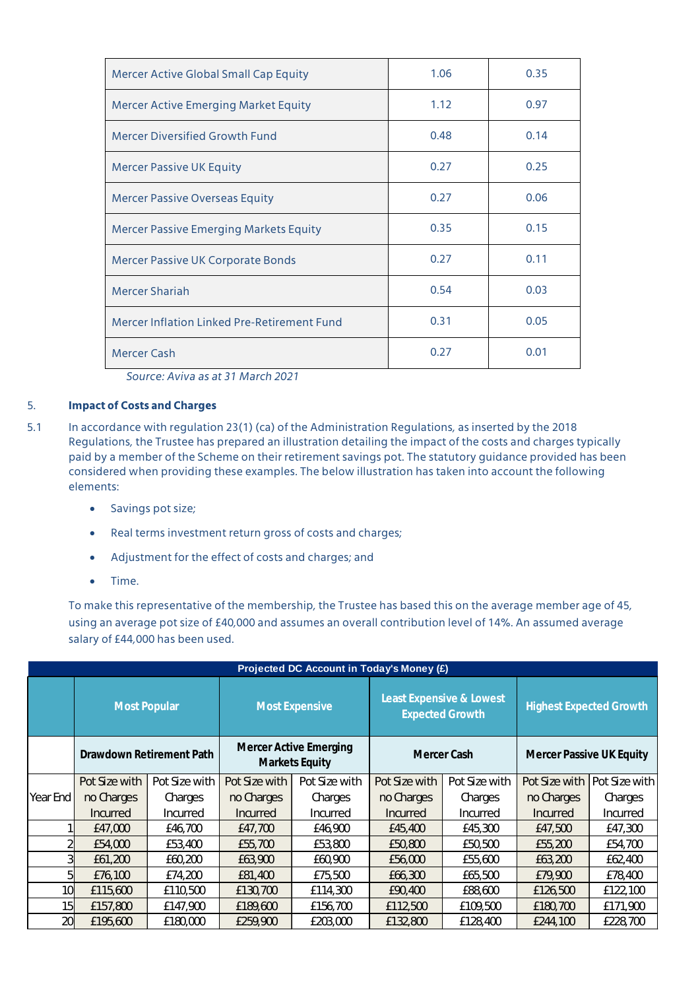| Mercer Active Global Small Cap Equity         | 1.06 | 0.35 |
|-----------------------------------------------|------|------|
| <b>Mercer Active Emerging Market Equity</b>   | 1.12 | 0.97 |
| <b>Mercer Diversified Growth Fund</b>         | 0.48 | 0.14 |
| <b>Mercer Passive UK Equity</b>               | 0.27 | 0.25 |
| <b>Mercer Passive Overseas Equity</b>         | 0.27 | 0.06 |
| <b>Mercer Passive Emerging Markets Equity</b> | 0.35 | 0.15 |
| Mercer Passive UK Corporate Bonds             | 0.27 | 0.11 |
| <b>Mercer Shariah</b>                         | 0.54 | 0.03 |
| Mercer Inflation Linked Pre-Retirement Fund   | 0.31 | 0.05 |
| <b>Mercer Cash</b>                            | 0.27 | 0.01 |

*Source: Aviva as at 31 March 2021*

## 5. **Impact of Costs and Charges**

- 5.1 In accordance with regulation 23(1) (ca) of the Administration Regulations, as inserted by the 2018 Regulations, the Trustee has prepared an illustration detailing the impact of the costs and charges typically paid by a member of the Scheme on their retirement savings pot. The statutory guidance provided has been considered when providing these examples. The below illustration has taken into account the following elements:
	- Savings pot size;
	- Real terms investment return gross of costs and charges;
	- Adjustment for the effect of costs and charges; and
	- Time.

To make this representative of the membership, the Trustee has based this on the average member age of 45, using an average pot size of £40,000 and assumes an overall contribution level of 14%. An assumed average salary of £44,000 has been used.

| Projected DC Account in Today's Money (£) |                     |                          |                       |                                                 |                                                    |               |                                 |               |  |
|-------------------------------------------|---------------------|--------------------------|-----------------------|-------------------------------------------------|----------------------------------------------------|---------------|---------------------------------|---------------|--|
|                                           | <b>Most Popular</b> |                          | <b>Most Expensive</b> |                                                 | Least Expensive & Lowest<br><b>Expected Growth</b> |               | <b>Highest Expected Growth</b>  |               |  |
|                                           |                     | Drawdown Retirement Path |                       | <b>Mercer Active Emerging</b><br>Markets Equity | Mercer Cash                                        |               | <b>Mercer Passive UK Equity</b> |               |  |
|                                           | Pot Size with       | Pot Size with            | Pot Size with         | Pot Size with                                   | Pot Size with                                      | Pot Size with | Pot Size with                   | Pot Size with |  |
| Year End                                  | no Charges          | Charges                  | no Charges            | Charges                                         | no Charges                                         | Charges       | no Charges                      | Charges       |  |
|                                           | Incurred            | Incurred                 | Incurred              | Incurred                                        | Incurred                                           | Incurred      | <b>Incurred</b>                 | Incurred      |  |
|                                           | £47,000             | £46,700                  | £47,700               | £46,900                                         | £45,400                                            | £45,300       | £47,500                         | £47,300       |  |
|                                           | £54,000             | £53,400                  | £55,700               | £53,800                                         | £50,800                                            | £50,500       | £55,200                         | £54,700       |  |
| 31                                        | £61,200             | £60,200                  | £63,900               | £60,900                                         | £56,000                                            | £55,600       | £63,200                         | £62,400       |  |
| 51                                        | £76,100             | £74,200                  | £81,400               | £75,500                                         | £66,300                                            | £65,500       | £79,900                         | £78,400       |  |
| 10                                        | £115,600            | £110,500                 | £130,700              | £114,300                                        | £90,400                                            | £88,600       | £126,500                        | £122,100      |  |
| 15                                        | £157,800            | £147,900                 | £189,600              | £156,700                                        | £112,500                                           | £109,500      | £180,700                        | £171,900      |  |
| 20                                        | £195,600            | £180,000                 | £259,900              | £203,000                                        | £132,800                                           | £128,400      | £244,100                        | £228,700      |  |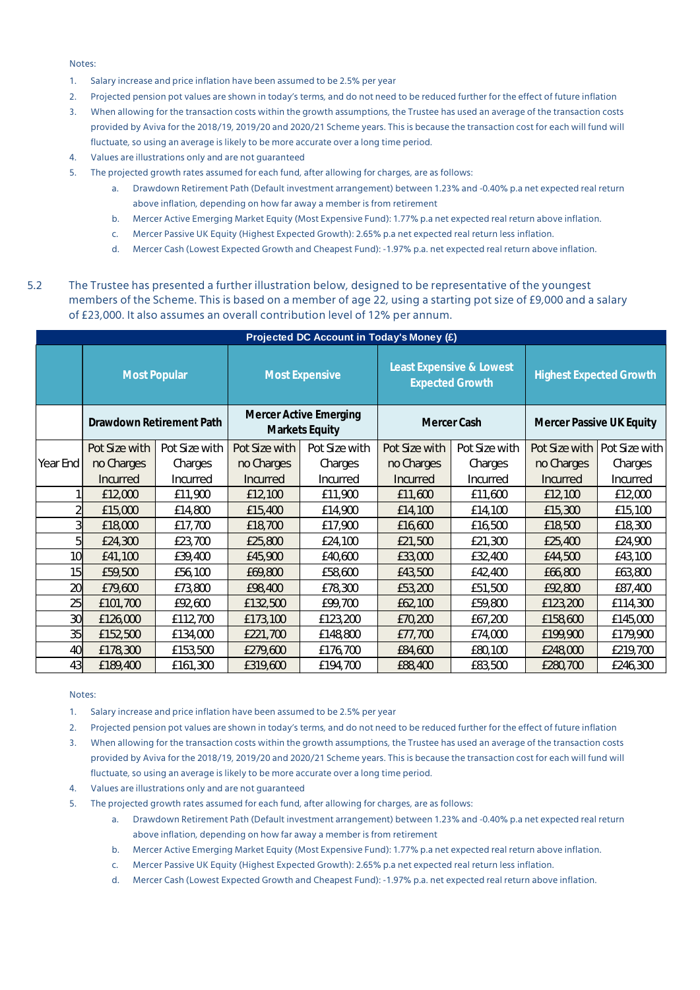Notes:

- 1. Salary increase and price inflation have been assumed to be 2.5% per year
- 2. Projected pension pot values are shown in today's terms, and do not need to be reduced further for the effect of future inflation
- 3. When allowing for the transaction costs within the growth assumptions, the Trustee has used an average of the transaction costs provided by Aviva for the 2018/19, 2019/20 and 2020/21 Scheme years. This is because the transaction cost for each will fund will fluctuate, so using an average is likely to be more accurate over a long time period.
- 4. Values are illustrations only and are not guaranteed
- 5. The projected growth rates assumed for each fund, after allowing for charges, are as follows:
	- a. Drawdown Retirement Path (Default investment arrangement) between 1.23% and -0.40% p.a net expected real return above inflation, depending on how far away a member is from retirement
	- b. Mercer Active Emerging Market Equity (Most Expensive Fund): 1.77% p.a net expected real return above inflation.
	- c. Mercer Passive UK Equity (Highest Expected Growth): 2.65% p.a net expected real return less inflation.
	- d. Mercer Cash (Lowest Expected Growth and Cheapest Fund): -1.97% p.a. net expected real return above inflation.
- 5.2 The Trustee has presented a further illustration below, designed to be representative of the youngest members of the Scheme. This is based on a member of age 22, using a starting pot size of £9,000 and a salary of £23,000. It also assumes an overall contribution level of 12% per annum.

| Projected DC Account in Today's Money (£) |                          |               |                                                 |                       |                                                    |               |                                |               |  |
|-------------------------------------------|--------------------------|---------------|-------------------------------------------------|-----------------------|----------------------------------------------------|---------------|--------------------------------|---------------|--|
|                                           | <b>Most Popular</b>      |               |                                                 | <b>Most Expensive</b> | Least Expensive & Lowest<br><b>Expected Growth</b> |               | <b>Highest Expected Growth</b> |               |  |
|                                           | Drawdown Retirement Path |               | <b>Mercer Active Emerging</b><br>Markets Equity |                       | Mercer Cash                                        |               | Mercer Passive UK Equity       |               |  |
|                                           | Pot Size with            | Pot Size with | Pot Size with                                   | Pot Size with         | Pot Size with                                      | Pot Size with | Pot Size with                  | Pot Size with |  |
| Year End                                  | no Charges               | Charges       | no Charges                                      | Charges               | no Charges                                         | Charges       | no Charges                     | Charges       |  |
|                                           | Incurred                 | Incurred      | <b>Incurred</b>                                 | Incurred              | Incurred                                           | Incurred      | Incurred                       | Incurred      |  |
|                                           | £12,000                  | £11,900       | £12,100                                         | £11,900               | £11,600                                            | £11,600       | £12,100                        | £12,000       |  |
|                                           | £15,000                  | £14,800       | £15,400                                         | £14,900               | £14,100                                            | £14,100       | £15,300                        | £15,100       |  |
| 3                                         | £18,000                  | £17,700       | £18,700                                         | £17,900               | £16,600                                            | £16,500       | £18,500                        | £18,300       |  |
| 51                                        | £24,300                  | £23,700       | £25,800                                         | £24,100               | £21,500                                            | £21,300       | £25,400                        | £24,900       |  |
| 10 <sup>1</sup>                           | £41,100                  | £39,400       | £45,900                                         | £40,600               | £33,000                                            | £32,400       | £44,500                        | £43,100       |  |
| 15                                        | £59,500                  | £56,100       | £69,800                                         | £58,600               | £43,500                                            | £42,400       | £66,800                        | £63,800       |  |
| 20                                        | £79,600                  | £73,800       | £98,400                                         | £78,300               | £53,200                                            | £51,500       | £92,800                        | £87,400       |  |
| 25                                        | £101,700                 | £92,600       | £132,500                                        | £99,700               | £62,100                                            | £59,800       | £123,200                       | £114,300      |  |
| 30 <sup>1</sup>                           | £126,000                 | £112,700      | £173,100                                        | £123,200              | £70,200                                            | £67,200       | £158,600                       | £145,000      |  |
| 35                                        | £152,500                 | £134,000      | £221,700                                        | £148,800              | £77,700                                            | £74,000       | £199,900                       | £179,900      |  |
| 40                                        | £178,300                 | £153,500      | £279,600                                        | £176,700              | £84,600                                            | £80,100       | £248,000                       | £219,700      |  |
| 43                                        | £189,400                 | £161,300      | £319,600                                        | £194,700              | £88,400                                            | £83,500       | £280,700                       | £246,300      |  |

#### Notes:

1. Salary increase and price inflation have been assumed to be 2.5% per year

2. Projected pension pot values are shown in today's terms, and do not need to be reduced further for the effect of future inflation

3. When allowing for the transaction costs within the growth assumptions, the Trustee has used an average of the transaction costs provided by Aviva for the 2018/19, 2019/20 and 2020/21 Scheme years. This is because the transaction cost for each will fund will fluctuate, so using an average is likely to be more accurate over a long time period.

- 4. Values are illustrations only and are not guaranteed
- 5. The projected growth rates assumed for each fund, after allowing for charges, are as follows:
	- a. Drawdown Retirement Path (Default investment arrangement) between 1.23% and -0.40% p.a net expected real return above inflation, depending on how far away a member is from retirement
	- b. Mercer Active Emerging Market Equity (Most Expensive Fund): 1.77% p.a net expected real return above inflation.
	- c. Mercer Passive UK Equity (Highest Expected Growth): 2.65% p.a net expected real return less inflation.
	- d. Mercer Cash (Lowest Expected Growth and Cheapest Fund): -1.97% p.a. net expected real return above inflation.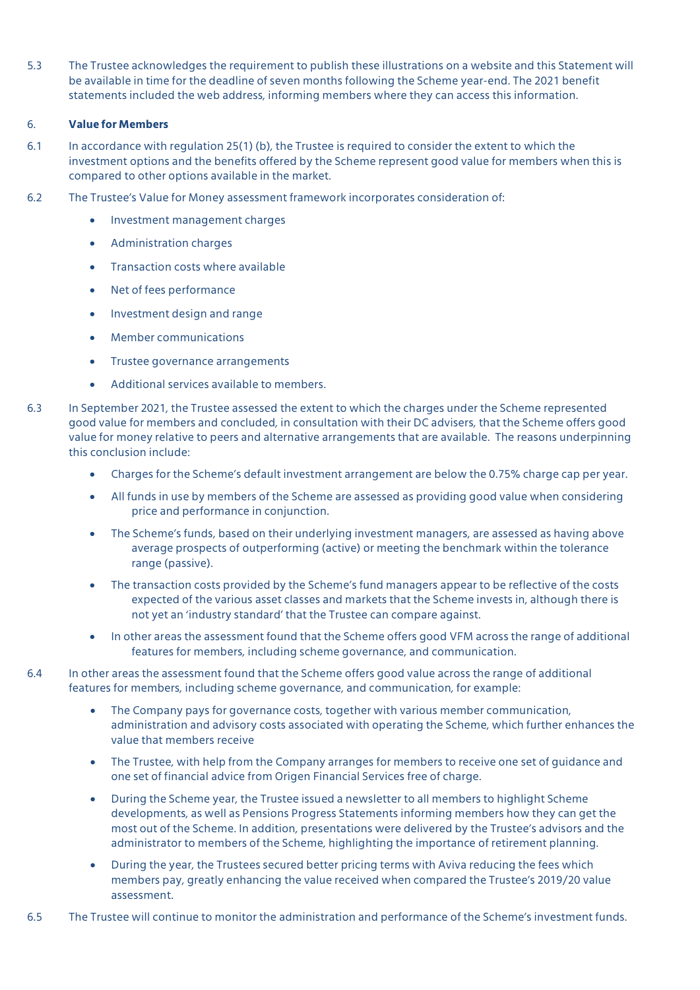5.3 The Trustee acknowledges the requirement to publish these illustrations on a website and this Statement will be available in time for the deadline of seven months following the Scheme year-end. The 2021 benefit statements included the web address, informing members where they can access this information.

## 6. **Value for Members**

- 6.1 In accordance with regulation 25(1) (b), the Trustee is required to consider the extent to which the investment options and the benefits offered by the Scheme represent good value for members when this is compared to other options available in the market.
- 6.2 The Trustee's Value for Money assessment framework incorporates consideration of:
	- Investment management charges
	- Administration charges
	- Transaction costs where available
	- Net of fees performance
	- **•** Investment design and range
	- Member communications
	- **•** Trustee governance arrangements
	- Additional services available to members.
- 6.3 In September 2021, the Trustee assessed the extent to which the charges under the Scheme represented good value for members and concluded, in consultation with their DC advisers, that the Scheme offers good value for money relative to peers and alternative arrangements that are available. The reasons underpinning this conclusion include:
	- Charges for the Scheme's default investment arrangement are below the 0.75% charge cap per year.
	- All funds in use by members of the Scheme are assessed as providing good value when considering price and performance in conjunction.
	- The Scheme's funds, based on their underlying investment managers, are assessed as having above average prospects of outperforming (active) or meeting the benchmark within the tolerance range (passive).
	- The transaction costs provided by the Scheme's fund managers appear to be reflective of the costs expected of the various asset classes and markets that the Scheme invests in, although there is not yet an 'industry standard' that the Trustee can compare against.
	- In other areas the assessment found that the Scheme offers good VFM across the range of additional features for members, including scheme governance, and communication.
- 6.4 In other areas the assessment found that the Scheme offers good value across the range of additional features for members, including scheme governance, and communication, for example:
	- The Company pays for governance costs, together with various member communication, administration and advisory costs associated with operating the Scheme, which further enhances the value that members receive
	- The Trustee, with help from the Company arranges for members to receive one set of guidance and one set of financial advice from Origen Financial Services free of charge.
	- During the Scheme year, the Trustee issued a newsletter to all members to highlight Scheme developments, as well as Pensions Progress Statements informing members how they can get the most out of the Scheme. In addition, presentations were delivered by the Trustee's advisors and the administrator to members of the Scheme, highlighting the importance of retirement planning.
	- During the year, the Trustees secured better pricing terms with Aviva reducing the fees which members pay, greatly enhancing the value received when compared the Trustee's 2019/20 value assessment.
- 6.5 The Trustee will continue to monitor the administration and performance of the Scheme's investment funds.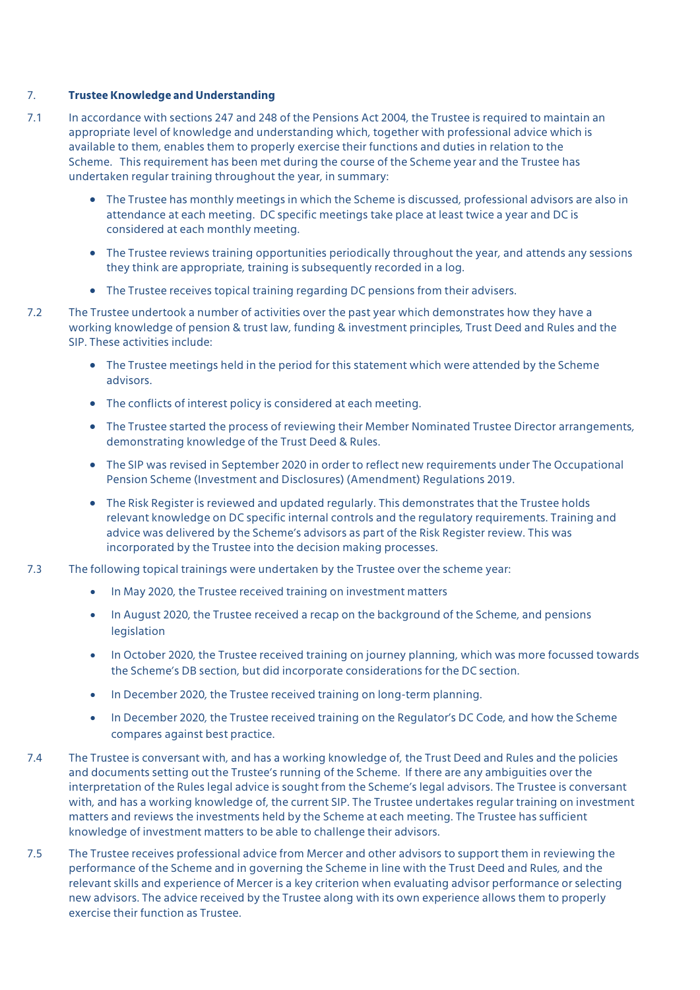### 7. **Trustee Knowledge and Understanding**

- 7.1 In accordance with sections 247 and 248 of the Pensions Act 2004, the Trustee is required to maintain an appropriate level of knowledge and understanding which, together with professional advice which is available to them, enables them to properly exercise their functions and duties in relation to the Scheme. This requirement has been met during the course of the Scheme year and the Trustee has undertaken regular training throughout the year, in summary:
	- The Trustee has monthly meetings in which the Scheme is discussed, professional advisors are also in attendance at each meeting. DC specific meetings take place at least twice a year and DC is considered at each monthly meeting.
	- The Trustee reviews training opportunities periodically throughout the year, and attends any sessions they think are appropriate, training is subsequently recorded in a log.
	- The Trustee receives topical training regarding DC pensions from their advisers.
- 7.2 The Trustee undertook a number of activities over the past year which demonstrates how they have a working knowledge of pension & trust law, funding & investment principles, Trust Deed and Rules and the SIP. These activities include:
	- The Trustee meetings held in the period for this statement which were attended by the Scheme advisors.
	- The conflicts of interest policy is considered at each meeting.
	- The Trustee started the process of reviewing their Member Nominated Trustee Director arrangements, demonstrating knowledge of the Trust Deed & Rules.
	- The SIP was revised in September 2020 in order to reflect new requirements under The Occupational Pension Scheme (Investment and Disclosures) (Amendment) Regulations 2019.
	- The Risk Register is reviewed and updated regularly. This demonstrates that the Trustee holds relevant knowledge on DC specific internal controls and the regulatory requirements. Training and advice was delivered by the Scheme's advisors as part of the Risk Register review. This was incorporated by the Trustee into the decision making processes.
- 7.3 The following topical trainings were undertaken by the Trustee over the scheme year:
	- In May 2020, the Trustee received training on investment matters
	- In August 2020, the Trustee received a recap on the background of the Scheme, and pensions legislation
	- In October 2020, the Trustee received training on journey planning, which was more focussed towards the Scheme's DB section, but did incorporate considerations for the DC section.
	- In December 2020, the Trustee received training on long-term planning.
	- In December 2020, the Trustee received training on the Regulator's DC Code, and how the Scheme compares against best practice.
- 7.4 The Trustee is conversant with, and has a working knowledge of, the Trust Deed and Rules and the policies and documents setting out the Trustee's running of the Scheme. If there are any ambiguities over the interpretation of the Rules legal advice is sought from the Scheme's legal advisors. The Trustee is conversant with, and has a working knowledge of, the current SIP. The Trustee undertakes regular training on investment matters and reviews the investments held by the Scheme at each meeting. The Trustee has sufficient knowledge of investment matters to be able to challenge their advisors.
- 7.5 The Trustee receives professional advice from Mercer and other advisors to support them in reviewing the performance of the Scheme and in governing the Scheme in line with the Trust Deed and Rules, and the relevant skills and experience of Mercer is a key criterion when evaluating advisor performance or selecting new advisors. The advice received by the Trustee along with its own experience allows them to properly exercise their function as Trustee.